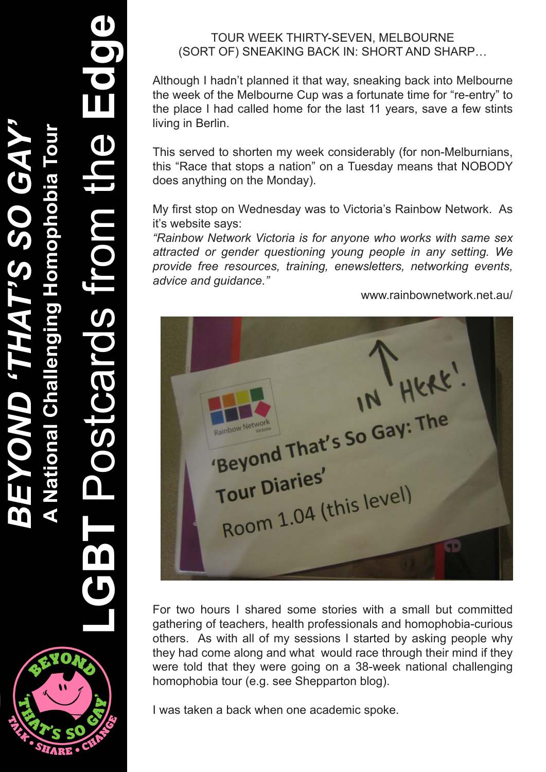**LGBT** Postcards from the **Edge**

## TOUR WEEK THIRTY-SEVEN, MELBOURNE (SORT OF) SNEAKING BACK IN: SHORT AND SHARP…

Although I hadn't planned it that way, sneaking back into Melbourne the week of the Melbourne Cup was a fortunate time for "re-entry" to the place I had called home for the last 11 years, save a few stints living in Berlin.

This served to shorten my week considerably (for non-Melburnians, this "Race that stops a nation" on a Tuesday means that NOBODY does anything on the Monday).

My first stop on Wednesday was to Victoria's Rainbow Network. As it's website says:

*"Rainbow Network Victoria is for anyone who works with same sex attracted or gender questioning young people in any setting. We provide free resources, training, enewsletters, networking events, advice and guidance."*

www.rainbownetwork.net.au/

"Beyond That's So Gay: Tour Diaries' Four Diaries<br>Room 1.04 (this level)

For two hours I shared some stories with a small but committed gathering of teachers, health professionals and homophobia-curious others. As with all of my sessions I started by asking people why they had come along and what would race through their mind if they were told that they were going on a 38-week national challenging homophobia tour (e.g. see Shepparton blog).

I was taken a back when one academic spoke.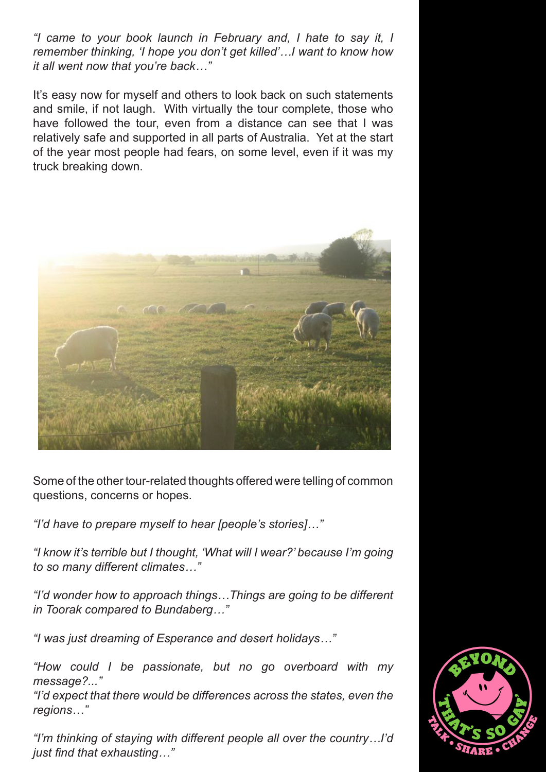*"I came to your book launch in February and, I hate to say it, I remember thinking, 'I hope you don't get killed'…I want to know how it all went now that you're back…"*

It's easy now for myself and others to look back on such statements and smile, if not laugh. With virtually the tour complete, those who have followed the tour, even from a distance can see that I was relatively safe and supported in all parts of Australia. Yet at the start of the year most people had fears, on some level, even if it was my truck breaking down.



Some of the other tour-related thoughts offered were telling of common questions, concerns or hopes.

*"I'd have to prepare myself to hear [people's stories]…"*

*"I know it's terrible but I thought, 'What will I wear?' because I'm going to so many different climates…"*

*"I'd wonder how to approach things…Things are going to be different in Toorak compared to Bundaberg…"*

*"I was just dreaming of Esperance and desert holidays…"*

*"How could I be passionate, but no go overboard with my message?..."*

*"I'd expect that there would be differences across the states, even the regions…"*

*"I'm thinking of staying with different people all over the country…I'd just find that exhausting…"*

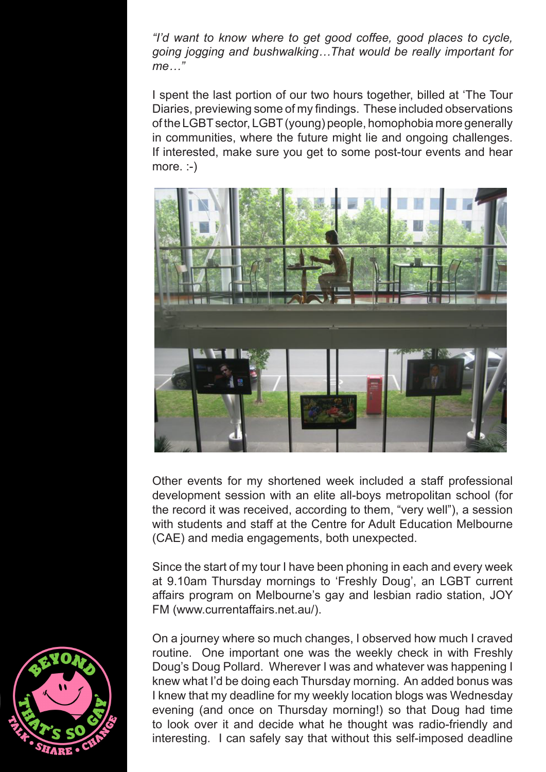*"I'd want to know where to get good coffee, good places to cycle, going jogging and bushwalking…That would be really important for me…"*

I spent the last portion of our two hours together, billed at 'The Tour Diaries, previewing some of my findings. These included observations of the LGBT sector, LGBT (young) people, homophobia more generally in communities, where the future might lie and ongoing challenges. If interested, make sure you get to some post-tour events and hear more. :-)



Other events for my shortened week included a staff professional development session with an elite all-boys metropolitan school (for the record it was received, according to them, "very well"), a session with students and staff at the Centre for Adult Education Melbourne (CAE) and media engagements, both unexpected.

Since the start of my tour I have been phoning in each and every week at 9.10am Thursday mornings to 'Freshly Doug', an LGBT current affairs program on Melbourne's gay and lesbian radio station, JOY FM (www.currentaffairs.net.au/).

On a journey where so much changes, I observed how much I craved routine. One important one was the weekly check in with Freshly Doug's Doug Pollard. Wherever I was and whatever was happening I knew what I'd be doing each Thursday morning. An added bonus was I knew that my deadline for my weekly location blogs was Wednesday evening (and once on Thursday morning!) so that Doug had time to look over it and decide what he thought was radio-friendly and interesting. I can safely say that without this self-imposed deadline